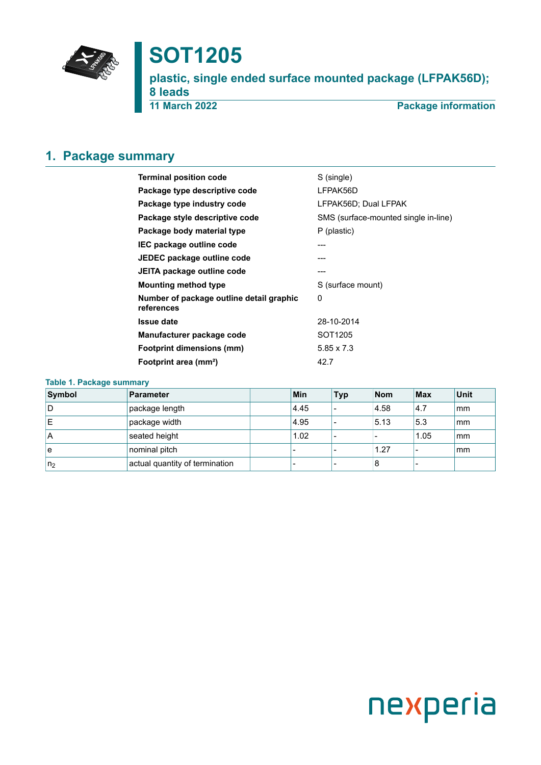

# **SOT1205**

**plastic, single ended surface mounted package (LFPAK56D); 8 leads 11 March 2022 Package information**

## <span id="page-0-0"></span>**1. Package summary**

| <b>Terminal position code</b>                          | S (single)                           |  |  |  |
|--------------------------------------------------------|--------------------------------------|--|--|--|
| Package type descriptive code                          | LFPAK56D                             |  |  |  |
| Package type industry code                             | LFPAK56D; Dual LFPAK                 |  |  |  |
| Package style descriptive code                         | SMS (surface-mounted single in-line) |  |  |  |
| Package body material type                             | P (plastic)                          |  |  |  |
| IEC package outline code                               |                                      |  |  |  |
| JEDEC package outline code                             | ---                                  |  |  |  |
| JEITA package outline code                             |                                      |  |  |  |
| <b>Mounting method type</b>                            | S (surface mount)                    |  |  |  |
| Number of package outline detail graphic<br>references | 0                                    |  |  |  |
| <b>Issue date</b>                                      | 28-10-2014                           |  |  |  |
| Manufacturer package code                              | SOT <sub>1205</sub>                  |  |  |  |
| <b>Footprint dimensions (mm)</b>                       | $5.85 \times 7.3$                    |  |  |  |
| Footprint area (mm <sup>2</sup> )                      | 42.7                                 |  |  |  |

### **Table 1. Package summary**

| Symbol         | Parameter                      | Min  | <b>Typ</b> | <b>Nom</b> | Max  | Unit |
|----------------|--------------------------------|------|------------|------------|------|------|
| ١D             | package length                 | 4.45 |            | 4.58       | 14.7 | mm   |
| ΙE             | package width                  | 4.95 |            | 5.13       | 5.3  | mm   |
| ۱A             | seated height                  | 1.02 |            |            | 1.05 | mm   |
| l e            | nominal pitch                  |      |            | 1.27       |      | mm   |
| n <sub>2</sub> | actual quantity of termination |      |            | 8          |      |      |

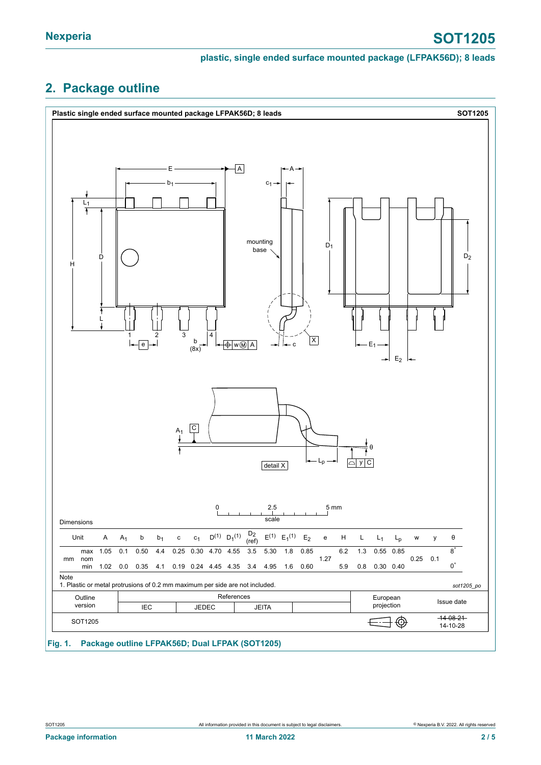### **plastic, single ended surface mounted package (LFPAK56D); 8 leads**

## <span id="page-1-0"></span>**2. Package outline**

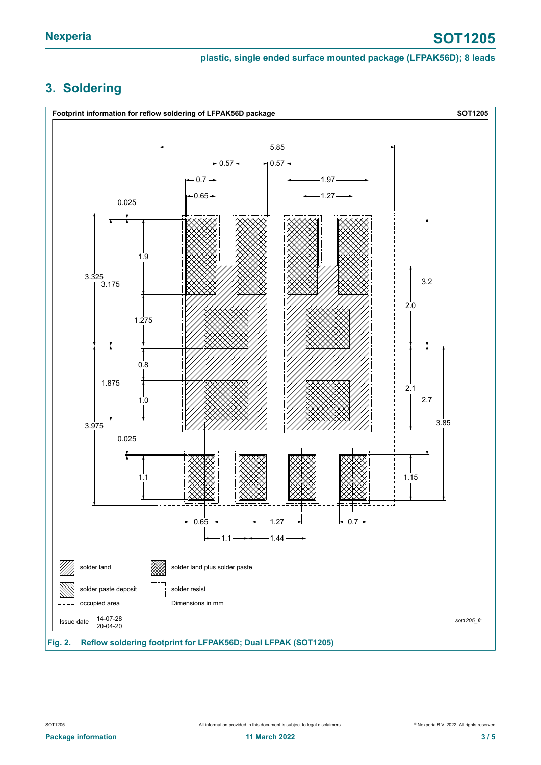### **plastic, single ended surface mounted package (LFPAK56D); 8 leads**

# <span id="page-2-0"></span>**3. Soldering**

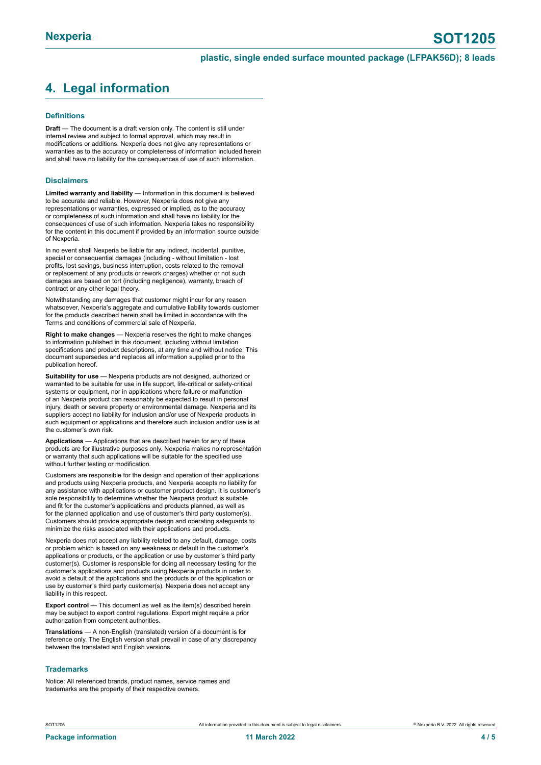# <span id="page-3-0"></span>**4. Legal information**

#### **Definitions**

**Draft** — The document is a draft version only. The content is still under internal review and subject to formal approval, which may result in modifications or additions. Nexperia does not give any representations or warranties as to the accuracy or completeness of information included herein and shall have no liability for the consequences of use of such information.

#### **Disclaimers**

**Limited warranty and liability** — Information in this document is believed to be accurate and reliable. However, Nexperia does not give any representations or warranties, expressed or implied, as to the accuracy or completeness of such information and shall have no liability for the consequences of use of such information. Nexperia takes no responsibility for the content in this document if provided by an information source outside of Nexperia.

In no event shall Nexperia be liable for any indirect, incidental, punitive, special or consequential damages (including - without limitation - lost profits, lost savings, business interruption, costs related to the removal or replacement of any products or rework charges) whether or not such damages are based on tort (including negligence), warranty, breach of contract or any other legal theory.

Notwithstanding any damages that customer might incur for any reason whatsoever, Nexperia's aggregate and cumulative liability towards customer for the products described herein shall be limited in accordance with the Terms and conditions of commercial sale of Nexperia.

**Right to make changes** — Nexperia reserves the right to make changes to information published in this document, including without limitation specifications and product descriptions, at any time and without notice. This document supersedes and replaces all information supplied prior to the publication hereof.

**Suitability for use** — Nexperia products are not designed, authorized or warranted to be suitable for use in life support, life-critical or safety-critical systems or equipment, nor in applications where failure or malfunction of an Nexperia product can reasonably be expected to result in personal injury, death or severe property or environmental damage. Nexperia and its suppliers accept no liability for inclusion and/or use of Nexperia products in such equipment or applications and therefore such inclusion and/or use is at the customer's own risk.

**Applications** — Applications that are described herein for any of these products are for illustrative purposes only. Nexperia makes no representation or warranty that such applications will be suitable for the specified use without further testing or modification.

Customers are responsible for the design and operation of their applications and products using Nexperia products, and Nexperia accepts no liability for any assistance with applications or customer product design. It is customer's sole responsibility to determine whether the Nexperia product is suitable and fit for the customer's applications and products planned, as well as for the planned application and use of customer's third party customer(s). Customers should provide appropriate design and operating safeguards to minimize the risks associated with their applications and products.

Nexperia does not accept any liability related to any default, damage, costs or problem which is based on any weakness or default in the customer's applications or products, or the application or use by customer's third party customer(s). Customer is responsible for doing all necessary testing for the customer's applications and products using Nexperia products in order to avoid a default of the applications and the products or of the application or use by customer's third party customer(s). Nexperia does not accept any liability in this respect.

**Export control** — This document as well as the item(s) described herein may be subject to export control regulations. Export might require a prior authorization from competent authorities.

**Translations** — A non-English (translated) version of a document is for reference only. The English version shall prevail in case of any discrepancy between the translated and English versions.

#### **Trademarks**

Notice: All referenced brands, product names, service names and trademarks are the property of their respective owners.